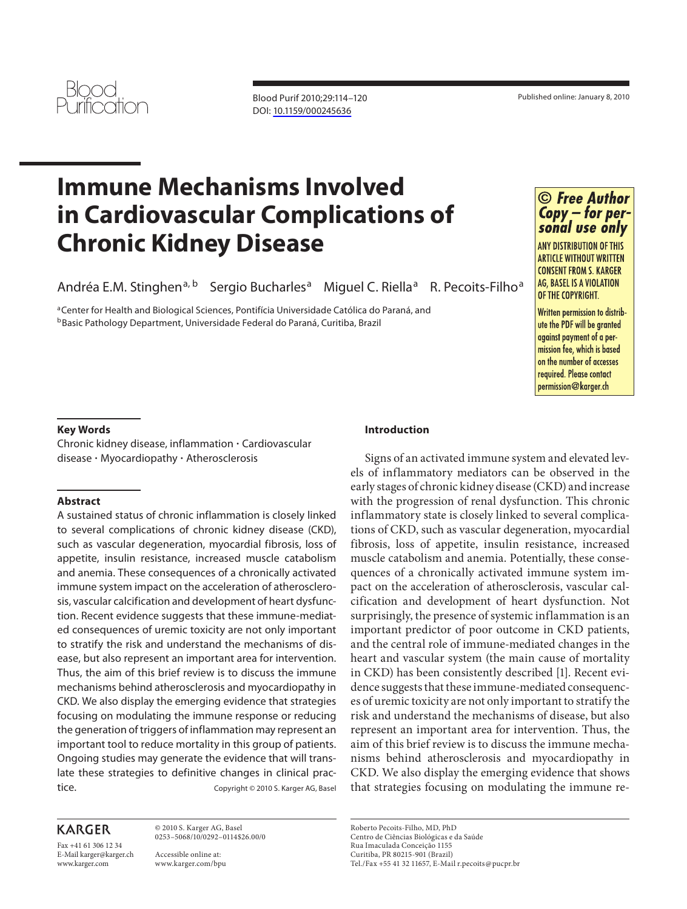

 Blood Purif 2010;29:114–120 DOI: [10.1159/000245636](http://dx.doi.org/10.1159%2F000245636)

# **Immune Mechanisms Involved** in Cardiovascular Complications of **Chronic Kidney Disease**  *sonal use only*

Andréa E.M. Stinghen<sup>a, b</sup> Sergio Bucharles<sup>a</sup> Miguel C. Riella<sup>a</sup> R. Pecoits-Filho<sup>a</sup> of the co

<sup>a</sup>Center for Health and Biological Sciences, Pontifícia Universidade Católica do Paraná, and <sup>b</sup> Basic Pathology Department, Universidade Federal do Paraná, Curitiba, Brazil  $\mathbf{u}$ 

# © Free Author  $\frac{1}{2}$  for personal use only

**ANY DISTRIBUTION OF THIS ARTICLE WITHOUT WRITTEN CONSENT FROM S. KARGER AG, BASEL IS A VIOLATION** OF THE COPYRIGHT.

Written permission to distribute the PDF will be granted against payment of a permission fee, which is based on the number of accesses required. Please contact permission@karger.ch

#### **Key Words**

Chronic kidney disease, inflammation - Cardiovascular disease - Myocardiopathy - Atherosclerosis

#### **Abstract**

 A sustained status of chronic inflammation is closely linked to several complications of chronic kidney disease (CKD), such as vascular degeneration, myocardial fibrosis, loss of appetite, insulin resistance, increased muscle catabolism and anemia. These consequences of a chronically activated immune system impact on the acceleration of atherosclerosis, vascular calcification and development of heart dysfunction. Recent evidence suggests that these immune-mediated consequences of uremic toxicity are not only important to stratify the risk and understand the mechanisms of disease, but also represent an important area for intervention. Thus, the aim of this brief review is to discuss the immune mechanisms behind atherosclerosis and myocardiopathy in CKD. We also display the emerging evidence that strategies focusing on modulating the immune response or reducing the generation of triggers of inflammation may represent an important tool to reduce mortality in this group of patients. Ongoing studies may generate the evidence that will translate these strategies to definitive changes in clinical practice. Copyright © 2010 S. Karger AG, Basel

**KARGER** 

Fax +41 61 306 12 34 E-Mail karger@karger.ch www.karger.com

 © 2010 S. Karger AG, Basel 0253–5068/10/0292–0114\$26.00/0

 Accessible online at: www.karger.com/bpu

#### **Introduction**

 Signs of an activated immune system and elevated levels of inflammatory mediators can be observed in the early stages of chronic kidney disease (CKD) and increase with the progression of renal dysfunction. This chronic inflammatory state is closely linked to several complications of CKD, such as vascular degeneration, myocardial fibrosis, loss of appetite, insulin resistance, increased muscle catabolism and anemia. Potentially, these consequences of a chronically activated immune system impact on the acceleration of atherosclerosis, vascular calcification and development of heart dysfunction. Not surprisingly, the presence of systemic inflammation is an important predictor of poor outcome in CKD patients, and the central role of immune-mediated changes in the heart and vascular system (the main cause of mortality in CKD) has been consistently described [1]. Recent evidence suggests that these immune-mediated consequences of uremic toxicity are not only important to stratify the risk and understand the mechanisms of disease, but also represent an important area for intervention. Thus, the aim of this brief review is to discuss the immune mechanisms behind atherosclerosis and myocardiopathy in CKD. We also display the emerging evidence that shows that strategies focusing on modulating the immune re-

 Roberto Pecoits-Filho, MD, PhD Centro de Ciências Biológicas e da Saúde Rua Imaculada Conceição 1155 Curitiba, PR 80215-901 (Brazil) Tel./Fax +55 41 32 11657, E-Mail r.pecoits @ pucpr.br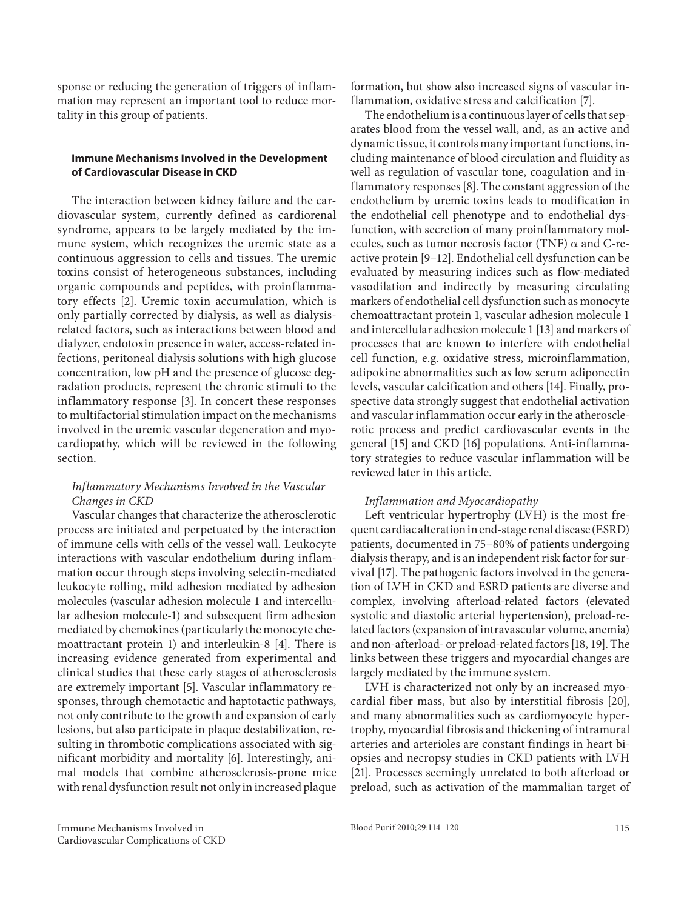sponse or reducing the generation of triggers of inflammation may represent an important tool to reduce mortality in this group of patients.

#### **Immune Mechanisms Involved in the Development of Cardiovascular Disease in CKD**

 The interaction between kidney failure and the cardiovascular system, currently defined as cardiorenal syndrome, appears to be largely mediated by the immune system, which recognizes the uremic state as a continuous aggression to cells and tissues. The uremic toxins consist of heterogeneous substances, including organic compounds and peptides, with proinflammatory effects [2]. Uremic toxin accumulation, which is only partially corrected by dialysis, as well as dialysisrelated factors, such as interactions between blood and dialyzer, endotoxin presence in water, access-related infections, peritoneal dialysis solutions with high glucose concentration, low pH and the presence of glucose degradation products, represent the chronic stimuli to the inflammatory response [3]. In concert these responses to multifactorial stimulation impact on the mechanisms involved in the uremic vascular degeneration and myocardiopathy, which will be reviewed in the following section.

# *Inflammatory Mechanisms Involved in the Vascular Changes in CKD*

 Vascular changes that characterize the atherosclerotic process are initiated and perpetuated by the interaction of immune cells with cells of the vessel wall. Leukocyte interactions with vascular endothelium during inflammation occur through steps involving selectin-mediated leukocyte rolling, mild adhesion mediated by adhesion molecules (vascular adhesion molecule 1 and intercellular adhesion molecule-1) and subsequent firm adhesion mediated by chemokines (particularly the monocyte chemoattractant protein 1) and interleukin-8 [4]. There is increasing evidence generated from experimental and clinical studies that these early stages of atherosclerosis are extremely important [5]. Vascular inflammatory responses, through chemotactic and haptotactic pathways, not only contribute to the growth and expansion of early lesions, but also participate in plaque destabilization, resulting in thrombotic complications associated with significant morbidity and mortality [6]. Interestingly, animal models that combine atherosclerosis-prone mice with renal dysfunction result not only in increased plaque

formation, but show also increased signs of vascular inflammation, oxidative stress and calcification [7].

 The endothelium is a continuous layer of cells that separates blood from the vessel wall, and, as an active and dynamic tissue, it controls many important functions, including maintenance of blood circulation and fluidity as well as regulation of vascular tone, coagulation and inflammatory responses [8]. The constant aggression of the endothelium by uremic toxins leads to modification in the endothelial cell phenotype and to endothelial dysfunction, with secretion of many proinflammatory molecules, such as tumor necrosis factor (TNF)  $\alpha$  and C-reactive protein [9–12] . Endothelial cell dysfunction can be evaluated by measuring indices such as flow-mediated vasodilation and indirectly by measuring circulating markers of endothelial cell dysfunction such as monocyte chemoattractant protein 1, vascular adhesion molecule 1 and intercellular adhesion molecule 1 [13] and markers of processes that are known to interfere with endothelial cell function, e.g. oxidative stress, microinflammation, adipokine abnormalities such as low serum adiponectin levels, vascular calcification and others [14] . Finally, prospective data strongly suggest that endothelial activation and vascular inflammation occur early in the atherosclerotic process and predict cardiovascular events in the general [15] and CKD [16] populations. Anti-inflammatory strategies to reduce vascular inflammation will be reviewed later in this article.

#### *Inflammation and Myocardiopathy*

 Left ventricular hypertrophy (LVH) is the most frequent cardiac alteration in end-stage renal disease (ESRD) patients, documented in 75–80% of patients undergoing dialysis therapy, and is an independent risk factor for survival [17]. The pathogenic factors involved in the generation of LVH in CKD and ESRD patients are diverse and complex, involving afterload-related factors (elevated systolic and diastolic arterial hypertension), preload-related factors (expansion of intravascular volume, anemia) and non-afterload- or preload-related factors [18, 19] . The links between these triggers and myocardial changes are largely mediated by the immune system.

 LVH is characterized not only by an increased myocardial fiber mass, but also by interstitial fibrosis [20], and many abnormalities such as cardiomyocyte hypertrophy, myocardial fibrosis and thickening of intramural arteries and arterioles are constant findings in heart biopsies and necropsy studies in CKD patients with LVH [21]. Processes seemingly unrelated to both afterload or preload, such as activation of the mammalian target of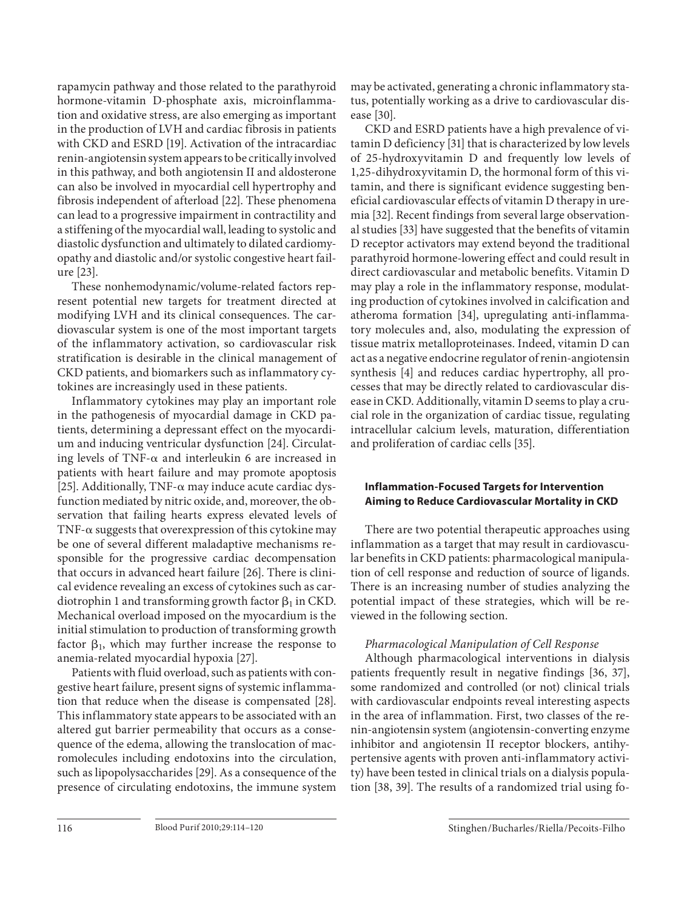rapamycin pathway and those related to the parathyroid hormone-vitamin D-phosphate axis, microinflammation and oxidative stress, are also emerging as important in the production of LVH and cardiac fibrosis in patients with CKD and ESRD [19]. Activation of the intracardiac renin-angiotensin system appears to be critically involved in this pathway, and both angiotensin II and aldosterone can also be involved in myocardial cell hypertrophy and fibrosis independent of afterload [22]. These phenomena can lead to a progressive impairment in contractility and a stiffening of the myocardial wall, leading to systolic and diastolic dysfunction and ultimately to dilated cardiomyopathy and diastolic and/or systolic congestive heart failure [23].

 These nonhemodynamic/volume-related factors represent potential new targets for treatment directed at modifying LVH and its clinical consequences. The cardiovascular system is one of the most important targets of the inflammatory activation, so cardiovascular risk stratification is desirable in the clinical management of CKD patients, and biomarkers such as inflammatory cytokines are increasingly used in these patients.

 Inflammatory cytokines may play an important role in the pathogenesis of myocardial damage in CKD patients, determining a depressant effect on the myocardium and inducing ventricular dysfunction [24] . Circulating levels of TNF- $\alpha$  and interleukin 6 are increased in patients with heart failure and may promote apoptosis [25]. Additionally, TNF- $\alpha$  may induce acute cardiac dysfunction mediated by nitric oxide, and, moreover, the observation that failing hearts express elevated levels of TNF- $\alpha$  suggests that overexpression of this cytokine may be one of several different maladaptive mechanisms responsible for the progressive cardiac decompensation that occurs in advanced heart failure [26]. There is clinical evidence revealing an excess of cytokines such as cardiotrophin 1 and transforming growth factor  $\beta_1$  in CKD. Mechanical overload imposed on the myocardium is the initial stimulation to production of transforming growth factor  $\beta_1$ , which may further increase the response to anemia-related myocardial hypoxia [27] .

 Patients with fluid overload, such as patients with congestive heart failure, present signs of systemic inflammation that reduce when the disease is compensated [28] . This inflammatory state appears to be associated with an altered gut barrier permeability that occurs as a consequence of the edema, allowing the translocation of macromolecules including endotoxins into the circulation, such as lipopolysaccharides [29]. As a consequence of the presence of circulating endotoxins, the immune system may be activated, generating a chronic inflammatory status, potentially working as a drive to cardiovascular disease [30].

 CKD and ESRD patients have a high prevalence of vitamin D deficiency [31] that is characterized by low levels of 25-hydroxyvitamin D and frequently low levels of 1,25-dihydroxyvitamin D, the hormonal form of this vitamin, and there is significant evidence suggesting beneficial cardiovascular effects of vitamin D therapy in uremia [32]. Recent findings from several large observational studies [33] have suggested that the benefits of vitamin D receptor activators may extend beyond the traditional parathyroid hormone-lowering effect and could result in direct cardiovascular and metabolic benefits. Vitamin D may play a role in the inflammatory response, modulating production of cytokines involved in calcification and atheroma formation [34], upregulating anti-inflammatory molecules and, also, modulating the expression of tissue matrix metalloproteinases. Indeed, vitamin D can act as a negative endocrine regulator of renin-angiotensin synthesis [4] and reduces cardiac hypertrophy, all processes that may be directly related to cardiovascular disease in CKD. Additionally, vitamin D seems to play a crucial role in the organization of cardiac tissue, regulating intracellular calcium levels, maturation, differentiation and proliferation of cardiac cells [35] .

# **Inflammation-Focused Targets for Intervention Aiming to Reduce Cardiovascular Mortality in CKD**

 There are two potential therapeutic approaches using inflammation as a target that may result in cardiovascular benefits in CKD patients: pharmacological manipulation of cell response and reduction of source of ligands. There is an increasing number of studies analyzing the potential impact of these strategies, which will be reviewed in the following section.

# *Pharmacological Manipulation of Cell Response*

 Although pharmacological interventions in dialysis patients frequently result in negative findings [36, 37], some randomized and controlled (or not) clinical trials with cardiovascular endpoints reveal interesting aspects in the area of inflammation. First, two classes of the renin-angiotensin system (angiotensin-converting enzyme inhibitor and angiotensin II receptor blockers, antihypertensive agents with proven anti-inflammatory activity) have been tested in clinical trials on a dialysis population [38, 39]. The results of a randomized trial using fo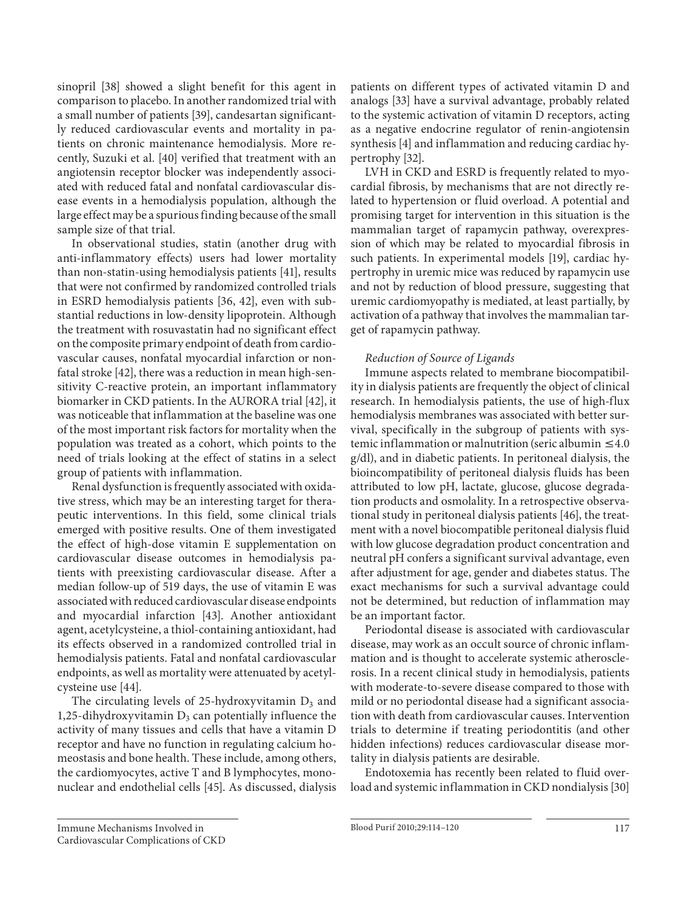sinopril [38] showed a slight benefit for this agent in comparison to placebo. In another randomized trial with a small number of patients [39], candesartan significantly reduced cardiovascular events and mortality in patients on chronic maintenance hemodialysis. More recently, Suzuki et al. [40] verified that treatment with an angiotensin receptor blocker was independently associated with reduced fatal and nonfatal cardiovascular disease events in a hemodialysis population, although the large effect may be a spurious finding because of the small sample size of that trial.

 In observational studies, statin (another drug with anti-inflammatory effects) users had lower mortality than non-statin-using hemodialysis patients [41], results that were not confirmed by randomized controlled trials in ESRD hemodialysis patients [36, 42], even with substantial reductions in low-density lipoprotein. Although the treatment with rosuvastatin had no significant effect on the composite primary endpoint of death from cardiovascular causes, nonfatal myocardial infarction or nonfatal stroke [42], there was a reduction in mean high-sensitivity C-reactive protein, an important inflammatory biomarker in CKD patients. In the AURORA trial [42], it was noticeable that inflammation at the baseline was one of the most important risk factors for mortality when the population was treated as a cohort, which points to the need of trials looking at the effect of statins in a select group of patients with inflammation.

 Renal dysfunction is frequently associated with oxidative stress, which may be an interesting target for therapeutic interventions. In this field, some clinical trials emerged with positive results. One of them investigated the effect of high-dose vitamin E supplementation on cardiovascular disease outcomes in hemodialysis patients with preexisting cardiovascular disease. After a median follow-up of 519 days, the use of vitamin E was associated with reduced cardiovascular disease endpoints and myocardial infarction [43]. Another antioxidant agent, acetylcysteine, a thiol-containing antioxidant, had its effects observed in a randomized controlled trial in hemodialysis patients. Fatal and nonfatal cardiovascular endpoints, as well as mortality were attenuated by acetylcysteine use [44].

The circulating levels of 25-hydroxyvitamin  $D_3$  and 1,25-dihydroxyvitamin  $D_3$  can potentially influence the activity of many tissues and cells that have a vitamin D receptor and have no function in regulating calcium homeostasis and bone health. These include, among others, the cardiomyocytes, active T and B lymphocytes, mononuclear and endothelial cells [45] . As discussed, dialysis patients on different types of activated vitamin D and analogs [33] have a survival advantage, probably related to the systemic activation of vitamin D receptors, acting as a negative endocrine regulator of renin-angiotensin synthesis [4] and inflammation and reducing cardiac hypertrophy [32].

 LVH in CKD and ESRD is frequently related to myocardial fibrosis, by mechanisms that are not directly related to hypertension or fluid overload. A potential and promising target for intervention in this situation is the mammalian target of rapamycin pathway, overexpression of which may be related to myocardial fibrosis in such patients. In experimental models [19], cardiac hypertrophy in uremic mice was reduced by rapamycin use and not by reduction of blood pressure, suggesting that uremic cardiomyopathy is mediated, at least partially, by activation of a pathway that involves the mammalian target of rapamycin pathway.

#### *Reduction of Source of Ligands*

 Immune aspects related to membrane biocompatibility in dialysis patients are frequently the object of clinical research. In hemodialysis patients, the use of high-flux hemodialysis membranes was associated with better survival, specifically in the subgroup of patients with systemic inflammation or malnutrition (seric albumin  $\leq 4.0$ g/dl), and in diabetic patients. In peritoneal dialysis, the bioincompatibility of peritoneal dialysis fluids has been attributed to low pH, lactate, glucose, glucose degradation products and osmolality. In a retrospective observational study in peritoneal dialysis patients [46], the treatment with a novel biocompatible peritoneal dialysis fluid with low glucose degradation product concentration and neutral pH confers a significant survival advantage, even after adjustment for age, gender and diabetes status. The exact mechanisms for such a survival advantage could not be determined, but reduction of inflammation may be an important factor.

 Periodontal disease is associated with cardiovascular disease, may work as an occult source of chronic inflammation and is thought to accelerate systemic atherosclerosis. In a recent clinical study in hemodialysis, patients with moderate-to-severe disease compared to those with mild or no periodontal disease had a significant association with death from cardiovascular causes. Intervention trials to determine if treating periodontitis (and other hidden infections) reduces cardiovascular disease mortality in dialysis patients are desirable.

 Endotoxemia has recently been related to fluid overload and systemic inflammation in CKD nondialysis [30]

Immune Mechanisms Involved in Cardiovascular Complications of CKD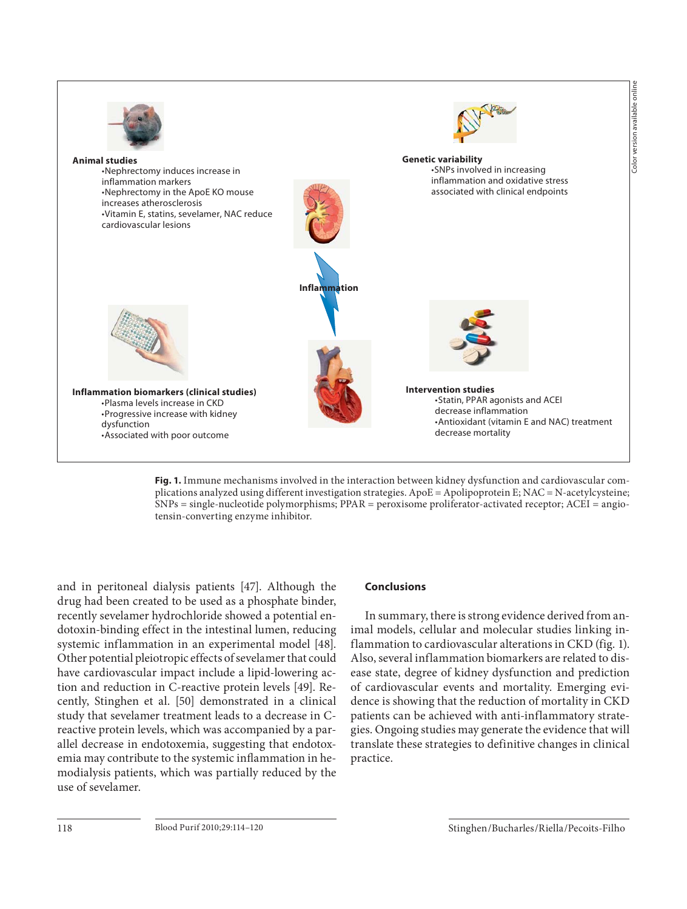

**Fig. 1.** Immune mechanisms involved in the interaction between kidney dysfunction and cardiovascular complications analyzed using different investigation strategies. ApoE = Apolipoprotein E; NAC = N-acetylcysteine; SNPs = single-nucleotide polymorphisms; PPAR = peroxisome proliferator-activated receptor; ACEI = angiotensin-converting enzyme inhibitor.

and in peritoneal dialysis patients [47]. Although the drug had been created to be used as a phosphate binder, recently sevelamer hydrochloride showed a potential endotoxin-binding effect in the intestinal lumen, reducing systemic inflammation in an experimental model [48]. Other potential pleiotropic effects of sevelamer that could have cardiovascular impact include a lipid-lowering action and reduction in C-reactive protein levels [49]. Recently, Stinghen et al.[50] demonstrated in a clinical study that sevelamer treatment leads to a decrease in Creactive protein levels, which was accompanied by a parallel decrease in endotoxemia, suggesting that endotoxemia may contribute to the systemic inflammation in hemodialysis patients, which was partially reduced by the use of sevelamer.

# **Conclusions**

 In summary, there is strong evidence derived from animal models, cellular and molecular studies linking inflammation to cardiovascular alterations in CKD (fig. 1). Also, several inflammation biomarkers are related to disease state, degree of kidney dysfunction and prediction of cardiovascular events and mortality. Emerging evidence is showing that the reduction of mortality in CKD patients can be achieved with anti-inflammatory strategies. Ongoing studies may generate the evidence that will translate these strategies to definitive changes in clinical practice.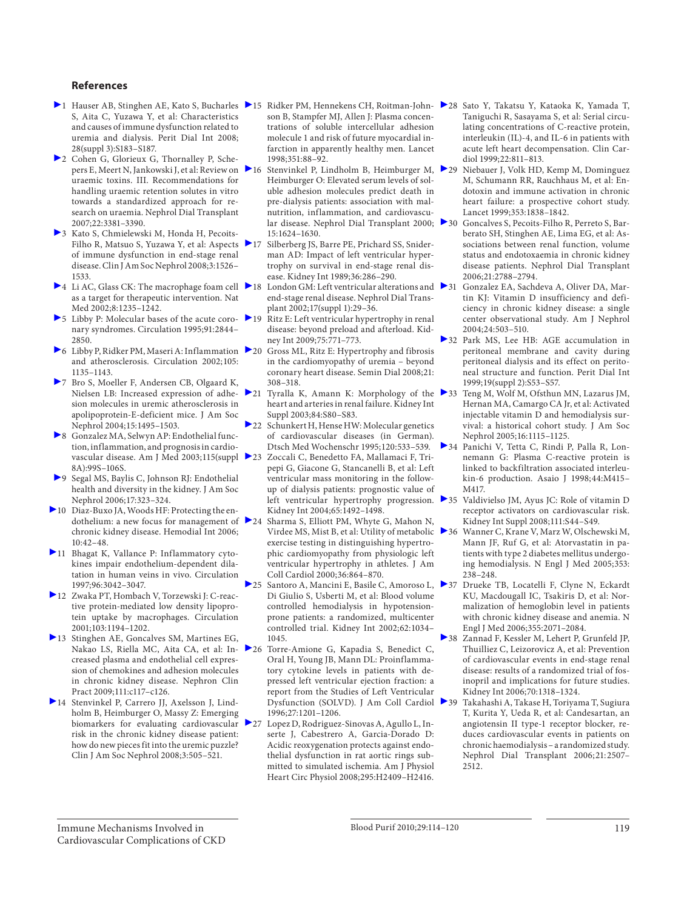#### **References**

- S, Aita C, Yuzawa Y, et al: Characteristics and causes of immune dysfunction related to uremia and dialysis. Perit Dial Int 2008; 28(suppl 3):S183–S187.
- 2 Cohen G, Glorieux G, Thornalley P, Schepers E, Meert N, Jankowski J, et al: Review on uraemic toxins. III. Recommendations for handling uraemic retention solutes in vitro towards a standardized approach for research on uraemia. Nephrol Dial Transplant 2007;22:3381–3390.
- 3 Kato S, Chmielewski M, Honda H, Pecoitsof immune dysfunction in end-stage renal disease. Clin J Am Soc Nephrol 2008;3:1526– 1533.
- as a target for therapeutic intervention. Nat Med 2002;8:1235–1242.
- nary syndromes. Circulation 1995;91:2844– 2850.
- ▶ 6 Libby P, Ridker PM, Maseri A: Inflammation ▶ 20 and atherosclerosis. Circulation 2002;105: 1135–1143.
- 7 Bro S, Moeller F, Andersen CB, Olgaard K, Nielsen LB: Increased expression of adhesion molecules in uremic atherosclerosis in apolipoprotein-E-deficient mice. J Am Soc Nephrol 2004;15:1495–1503.
- 8 Gonzalez MA, Selwyn AP: Endothelial function, inflammation, and prognosis in cardio-8A):99S–106S.
- 9 Segal MS, Baylis C, Johnson RJ: Endothelial health and diversity in the kidney. J Am Soc Nephrol 2006;17:323–324.
- 10 Diaz-Buxo JA, Woods HF: Protecting the endothelium: a new focus for management of chronic kidney disease. Hemodial Int 2006;  $10.42 - 48$
- 11 Bhagat K, Vallance P: Inflammatory cytokines impair endothelium-dependent dilatation in human veins in vivo. Circulation 1997;96:3042–3047.
- 12 Zwaka PT, Hombach V, Torzewski J: C-reactive protein-mediated low density lipoprotein uptake by macrophages. Circulation 2001;103:1194–1202.
- 13 Stinghen AE, Goncalves SM, Martines EG, Nakao LS, Riella MC, Aita CA, et al: Increased plasma and endothelial cell expression of chemokines and adhesion molecules in chronic kidney disease. Nephron Clin Pract 2009;111:c117–c126.
- 14 Stenvinkel P, Carrero JJ, Axelsson J, Lindholm B, Heimburger O, Massy Z: Emerging biomarkers for evaluating cardiovascular  $\geq 27$ risk in the chronic kidney disease patient: how do new pieces fit into the uremic puzzle? Clin J Am Soc Nephrol 2008;3:505–521.
- 1 Hauser AB, Stinghen AE, Kato S, Bucharles 15 Ridker PM, Hennekens CH, Roitman-John- 28 Sato Y, Takatsu Y, Kataoka K, Yamada T, son B, Stampfer MJ, Allen J: Plasma concentrations of soluble intercellular adhesion molecule 1 and risk of future myocardial infarction in apparently healthy men. Lancet 1998;351:88–92.
	- Stenvinkel P, Lindholm B, Heimburger M,  $\triangleright$  29 Heimburger O: Elevated serum levels of soluble adhesion molecules predict death in pre-dialysis patients: association with malnutrition, inflammation, and cardiovascu-15:1624–1630.
	- Filho R, Matsuo S, Yuzawa Y, et al: Aspects 217 Silberberg JS, Barre PE, Prichard SS, Sniderman AD: Impact of left ventricular hypertrophy on survival in end-stage renal disease. Kidney Int 1989;36:286–290.
- 4 Li AC, Glass CK: The macrophage foam cell 18 London GM: Left ventricular alterations and 31 Gonzalez EA, Sachdeva A, Oliver DA, Marend-stage renal disease. Nephrol Dial Transplant 2002;17(suppl 1):29–36.
- 5 Libby P: Molecular bases of the acute coro- 19 Ritz E: Left ventricular hypertrophy in renal disease: beyond preload and afterload. Kidney Int 2009;75:771–773.
	- Gross ML, Ritz E: Hypertrophy and fibrosis in the cardiomyopathy of uremia – beyond coronary heart disease. Semin Dial 2008;21: 308–318.
	- $\geq$  21 Tyralla K, Amann K: Morphology of the  $\geq$  33 heart and arteries in renal failure. Kidney Int Suppl 2003;84:S80–S83.
	- 22 Schunkert H, Hense HW: Molecular genetics of cardiovascular diseases (in German). Dtsch Med Wochenschr 1995;120:533–539.
	- vascular disease. Am J Med 2003;115(suppl 23 Zoccali C, Benedetto FA, Mallamaci F, Tripepi G, Giacone G, Stancanelli B, et al: Left ventricular mass monitoring in the followup of dialysis patients: prognostic value of Kidney Int 2004;65:1492–1498.
		- Sharma S, Elliott PM, Whyte G, Mahon N, Virdee MS, Mist B, et al: Utility of metabolic exercise testing in distinguishing hypertrophic cardiomyopathy from physiologic left ventricular hypertrophy in athletes. J Am Coll Cardiol 2000;36:864–870.
		- 25 Santoro A, Mancini E, Basile C, Amoroso L, 37 Drueke TB, Locatelli F, Clyne N, Eckardt Di Giulio S, Usberti M, et al: Blood volume controlled hemodialysis in hypotensionprone patients: a randomized, multicenter controlled trial. Kidney Int 2002;62:1034– 1045.
		- 26 Torre-Amione G, Kapadia S, Benedict C, Oral H, Young JB, Mann DL: Proinflammatory cytokine levels in patients with depressed left ventricular ejection fraction: a report from the Studies of Left Ventricular Dysfunction (SOLVD). J Am Coll Cardiol 239 1996;27:1201–1206.
		- Lopez D, Rodriguez-Sinovas A, Agullo L, Inserte J, Cabestrero A, Garcia-Dorado D: Acidic reoxygenation protects against endothelial dysfunction in rat aortic rings submitted to simulated ischemia. Am J Physiol Heart Circ Physiol 2008;295:H2409–H2416.
- Taniguchi R, Sasayama S, et al: Serial circulating concentrations of C-reactive protein, interleukin (IL)-4, and IL-6 in patients with acute left heart decompensation. Clin Cardiol 1999;22:811–813.
- 29 Niebauer J, Volk HD, Kemp M, Dominguez M, Schumann RR, Rauchhaus M, et al: Endotoxin and immune activation in chronic heart failure: a prospective cohort study. Lancet 1999;353:1838–1842.
- lar disease. Nephrol Dial Transplant 2000; 30 Goncalves S, Pecoits-Filho R, Perreto S, Barberato SH, Stinghen AE, Lima EG, et al: Associations between renal function, volume status and endotoxaemia in chronic kidney disease patients. Nephrol Dial Transplant 2006;21:2788–2794.
	- tin KJ: Vitamin D insufficiency and deficiency in chronic kidney disease: a single center observational study. Am J Nephrol 2004;24:503–510.
	- 32 Park MS, Lee HB: AGE accumulation in peritoneal membrane and cavity during peritoneal dialysis and its effect on peritoneal structure and function. Perit Dial Int 1999;19(suppl 2):S53–S57.
		- Teng M, Wolf M, Ofsthun MN, Lazarus JM, Hernan MA, Camargo CA Jr, et al: Activated injectable vitamin D and hemodialysis survival: a historical cohort study. J Am Soc Nephrol 2005;16:1115–1125.
	- 34 Panichi V, Tetta C, Rindi P, Palla R, Lonnemann G: Plasma C-reactive protein is linked to backfiltration associated interleukin-6 production. Asaio J 1998;44:M415– M417.
- left ventricular hypertrophy progression. 35 Valdivielso JM, Ayus JC: Role of vitamin D receptor activators on cardiovascular risk. Kidney Int Suppl 2008;111:S44–S49.
	- 36 Wanner C, Krane V, Marz W, Olschewski M, Mann JF, Ruf G, et al: Atorvastatin in patients with type 2 diabetes mellitus undergoing hemodialysis. N Engl J Med 2005;353: 238–248.
	- KU, Macdougall IC, Tsakiris D, et al: Normalization of hemoglobin level in patients with chronic kidney disease and anemia. N Engl J Med 2006;355:2071–2084.
	- 38 Zannad F, Kessler M, Lehert P, Grunfeld JP, Thuilliez C, Leizorovicz A, et al: Prevention of cardiovascular events in end-stage renal disease: results of a randomized trial of fosinopril and implications for future studies. Kidney Int 2006;70:1318–1324.
		- 39 Takahashi A, Takase H, Toriyama T, Sugiura T, Kurita Y, Ueda R, et al: Candesartan, an angiotensin II type-1 receptor blocker, reduces cardiovascular events in patients on chronic haemodialysis – a randomized study. Nephrol Dial Transplant 2006; 21: 2507– 2512.